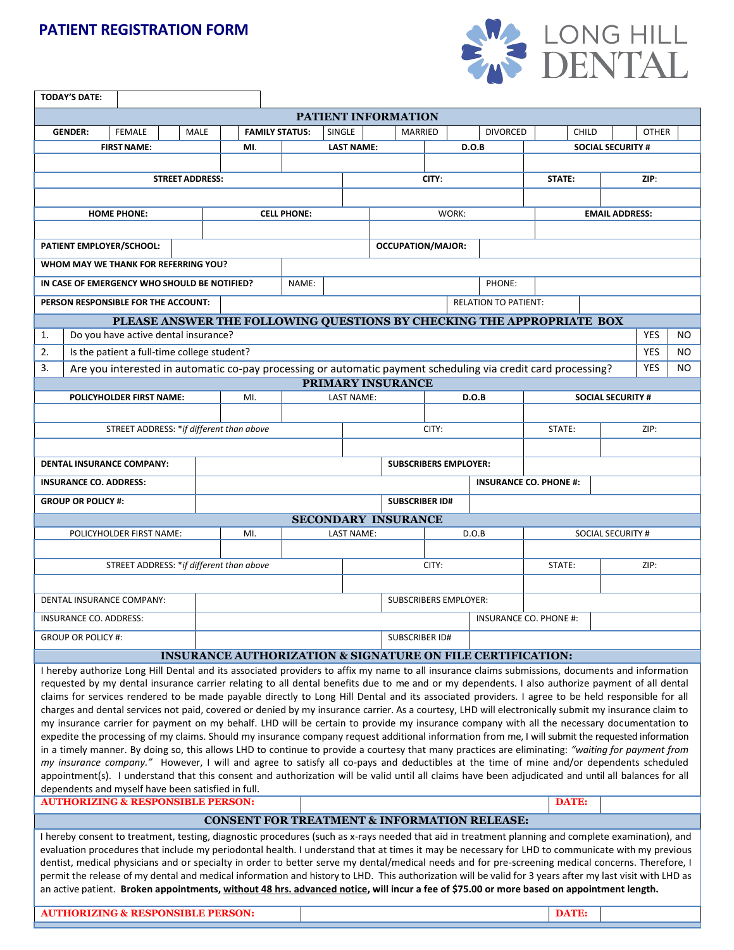## **PATIENT REGISTRATION FORM**



|                                                                                                                                                                                                                                                                                                        | <b>TODAY'S DATE:</b>                                                                                                                                                |                       |        |  |                                          |         |                    |                               |                       |                              |                              |       |                                                                                                                                                                                                                                                                                                 |                          |              |      |                          |     |
|--------------------------------------------------------------------------------------------------------------------------------------------------------------------------------------------------------------------------------------------------------------------------------------------------------|---------------------------------------------------------------------------------------------------------------------------------------------------------------------|-----------------------|--------|--|------------------------------------------|---------|--------------------|-------------------------------|-----------------------|------------------------------|------------------------------|-------|-------------------------------------------------------------------------------------------------------------------------------------------------------------------------------------------------------------------------------------------------------------------------------------------------|--------------------------|--------------|------|--------------------------|-----|
| <b>PATIENT INFORMATION</b>                                                                                                                                                                                                                                                                             |                                                                                                                                                                     |                       |        |  |                                          |         |                    |                               |                       |                              |                              |       |                                                                                                                                                                                                                                                                                                 |                          |              |      |                          |     |
|                                                                                                                                                                                                                                                                                                        | <b>FEMALE</b><br><b>GENDER:</b>                                                                                                                                     | <b>FAMILY STATUS:</b> | SINGLE |  |                                          | MARRIED |                    | <b>DIVORCED</b>               |                       | <b>CHILD</b>                 |                              |       | <b>OTHER</b>                                                                                                                                                                                                                                                                                    |                          |              |      |                          |     |
| <b>FIRST NAME:</b>                                                                                                                                                                                                                                                                                     |                                                                                                                                                                     |                       |        |  | MI.                                      |         |                    | <b>LAST NAME:</b>             |                       |                              |                              | D.O.B |                                                                                                                                                                                                                                                                                                 |                          |              |      | <b>SOCIAL SECURITY #</b> |     |
|                                                                                                                                                                                                                                                                                                        |                                                                                                                                                                     |                       |        |  |                                          |         |                    |                               |                       |                              |                              |       |                                                                                                                                                                                                                                                                                                 |                          |              |      |                          |     |
| <b>STREET ADDRESS:</b>                                                                                                                                                                                                                                                                                 |                                                                                                                                                                     |                       |        |  |                                          |         |                    |                               |                       | CITY:                        |                              |       |                                                                                                                                                                                                                                                                                                 | STATE:                   |              |      | ZIP:                     |     |
|                                                                                                                                                                                                                                                                                                        |                                                                                                                                                                     |                       |        |  |                                          |         |                    |                               |                       |                              |                              |       |                                                                                                                                                                                                                                                                                                 |                          |              |      |                          |     |
| <b>HOME PHONE:</b>                                                                                                                                                                                                                                                                                     |                                                                                                                                                                     |                       |        |  |                                          |         | <b>CELL PHONE:</b> |                               |                       | WORK:                        |                              |       |                                                                                                                                                                                                                                                                                                 | <b>EMAIL ADDRESS:</b>    |              |      |                          |     |
|                                                                                                                                                                                                                                                                                                        |                                                                                                                                                                     |                       |        |  |                                          |         |                    |                               |                       |                              |                              |       |                                                                                                                                                                                                                                                                                                 |                          |              |      |                          |     |
| PATIENT EMPLOYER/SCHOOL:                                                                                                                                                                                                                                                                               |                                                                                                                                                                     |                       |        |  |                                          |         |                    |                               |                       | <b>OCCUPATION/MAJOR:</b>     |                              |       |                                                                                                                                                                                                                                                                                                 |                          |              |      |                          |     |
| WHOM MAY WE THANK FOR REFERRING YOU?                                                                                                                                                                                                                                                                   |                                                                                                                                                                     |                       |        |  |                                          |         |                    |                               |                       |                              |                              |       |                                                                                                                                                                                                                                                                                                 |                          |              |      |                          |     |
| IN CASE OF EMERGENCY WHO SHOULD BE NOTIFIED?                                                                                                                                                                                                                                                           |                                                                                                                                                                     |                       |        |  | NAME:                                    |         |                    |                               | PHONE:                |                              |                              |       |                                                                                                                                                                                                                                                                                                 |                          |              |      |                          |     |
|                                                                                                                                                                                                                                                                                                        |                                                                                                                                                                     |                       |        |  |                                          |         |                    |                               |                       |                              |                              |       | <b>RELATION TO PATIENT:</b>                                                                                                                                                                                                                                                                     |                          |              |      |                          |     |
| PERSON RESPONSIBLE FOR THE ACCOUNT:                                                                                                                                                                                                                                                                    |                                                                                                                                                                     |                       |        |  |                                          |         |                    |                               |                       |                              |                              |       |                                                                                                                                                                                                                                                                                                 |                          |              |      |                          |     |
| PLEASE ANSWER THE FOLLOWING QUESTIONS BY CHECKING THE APPROPRIATE BOX<br>Do you have active dental insurance?<br>1.                                                                                                                                                                                    |                                                                                                                                                                     |                       |        |  |                                          |         |                    |                               |                       |                              | <b>YES</b>                   | NO.   |                                                                                                                                                                                                                                                                                                 |                          |              |      |                          |     |
| 2.                                                                                                                                                                                                                                                                                                     | Is the patient a full-time college student?                                                                                                                         |                       |        |  |                                          |         |                    |                               |                       |                              |                              |       |                                                                                                                                                                                                                                                                                                 |                          |              |      | <b>YES</b>               | NO. |
|                                                                                                                                                                                                                                                                                                        |                                                                                                                                                                     |                       |        |  |                                          |         |                    |                               |                       |                              |                              |       |                                                                                                                                                                                                                                                                                                 |                          |              |      |                          |     |
|                                                                                                                                                                                                                                                                                                        | <b>YES</b><br>3.<br>Are you interested in automatic co-pay processing or automatic payment scheduling via credit card processing?<br>NO<br><b>PRIMARY INSURANCE</b> |                       |        |  |                                          |         |                    |                               |                       |                              |                              |       |                                                                                                                                                                                                                                                                                                 |                          |              |      |                          |     |
| POLICYHOLDER FIRST NAME:<br>MI.                                                                                                                                                                                                                                                                        |                                                                                                                                                                     |                       |        |  |                                          |         |                    |                               | LAST NAME:            |                              |                              | D.O.B |                                                                                                                                                                                                                                                                                                 | <b>SOCIAL SECURITY #</b> |              |      |                          |     |
|                                                                                                                                                                                                                                                                                                        |                                                                                                                                                                     |                       |        |  |                                          |         |                    |                               |                       |                              |                              |       |                                                                                                                                                                                                                                                                                                 |                          |              |      |                          |     |
|                                                                                                                                                                                                                                                                                                        |                                                                                                                                                                     |                       |        |  |                                          |         |                    |                               |                       |                              | CITY:                        |       |                                                                                                                                                                                                                                                                                                 | STATE:                   |              | ZIP: |                          |     |
| STREET ADDRESS: *if different than above                                                                                                                                                                                                                                                               |                                                                                                                                                                     |                       |        |  |                                          |         |                    |                               |                       |                              |                              |       |                                                                                                                                                                                                                                                                                                 |                          |              |      |                          |     |
| <b>DENTAL INSURANCE COMPANY:</b>                                                                                                                                                                                                                                                                       |                                                                                                                                                                     |                       |        |  |                                          |         |                    |                               |                       |                              | <b>SUBSCRIBERS EMPLOYER:</b> |       |                                                                                                                                                                                                                                                                                                 |                          |              |      |                          |     |
|                                                                                                                                                                                                                                                                                                        |                                                                                                                                                                     |                       |        |  |                                          |         |                    |                               |                       |                              |                              |       |                                                                                                                                                                                                                                                                                                 |                          |              |      |                          |     |
|                                                                                                                                                                                                                                                                                                        | <b>INSURANCE CO. ADDRESS:</b>                                                                                                                                       |                       |        |  |                                          |         |                    | <b>INSURANCE CO. PHONE #:</b> |                       |                              |                              |       |                                                                                                                                                                                                                                                                                                 |                          |              |      |                          |     |
| <b>GROUP OR POLICY #:</b><br><b>SUBSCRIBER ID#</b>                                                                                                                                                                                                                                                     |                                                                                                                                                                     |                       |        |  |                                          |         |                    |                               |                       |                              |                              |       |                                                                                                                                                                                                                                                                                                 |                          |              |      |                          |     |
|                                                                                                                                                                                                                                                                                                        |                                                                                                                                                                     |                       |        |  |                                          |         |                    | <b>SECONDARY INSURANCE</b>    |                       |                              |                              |       |                                                                                                                                                                                                                                                                                                 |                          |              |      |                          |     |
|                                                                                                                                                                                                                                                                                                        | POLICYHOLDER FIRST NAME:                                                                                                                                            |                       |        |  | MI.<br><b>LAST NAME:</b>                 |         |                    |                               |                       | D.O.B                        |                              |       |                                                                                                                                                                                                                                                                                                 | <b>SOCIAL SECURITY #</b> |              |      |                          |     |
|                                                                                                                                                                                                                                                                                                        |                                                                                                                                                                     |                       |        |  | STREET ADDRESS: *if different than above |         |                    |                               |                       | CITY:                        |                              |       | STATE:                                                                                                                                                                                                                                                                                          |                          |              | ZIP: |                          |     |
|                                                                                                                                                                                                                                                                                                        |                                                                                                                                                                     |                       |        |  |                                          |         |                    |                               |                       |                              |                              |       |                                                                                                                                                                                                                                                                                                 |                          |              |      |                          |     |
|                                                                                                                                                                                                                                                                                                        |                                                                                                                                                                     |                       |        |  |                                          |         |                    |                               |                       |                              |                              |       |                                                                                                                                                                                                                                                                                                 |                          |              |      |                          |     |
|                                                                                                                                                                                                                                                                                                        | <b>DENTAL INSURANCE COMPANY:</b>                                                                                                                                    |                       |        |  |                                          |         |                    |                               |                       | <b>SUBSCRIBERS EMPLOYER:</b> |                              |       |                                                                                                                                                                                                                                                                                                 |                          |              |      |                          |     |
| INSURANCE CO. ADDRESS:                                                                                                                                                                                                                                                                                 |                                                                                                                                                                     |                       |        |  |                                          |         |                    |                               |                       |                              |                              |       | INSURANCE CO. PHONE #:                                                                                                                                                                                                                                                                          |                          |              |      |                          |     |
| <b>GROUP OR POLICY #:</b>                                                                                                                                                                                                                                                                              |                                                                                                                                                                     |                       |        |  |                                          |         |                    |                               | <b>SUBSCRIBER ID#</b> |                              |                              |       |                                                                                                                                                                                                                                                                                                 |                          |              |      |                          |     |
|                                                                                                                                                                                                                                                                                                        |                                                                                                                                                                     |                       |        |  |                                          |         |                    |                               |                       |                              |                              |       | INSURANCE AUTHORIZATION & SIGNATURE ON FILE CERTIFICATION:                                                                                                                                                                                                                                      |                          |              |      |                          |     |
|                                                                                                                                                                                                                                                                                                        |                                                                                                                                                                     |                       |        |  |                                          |         |                    |                               |                       |                              |                              |       | I hereby authorize Long Hill Dental and its associated providers to affix my name to all insurance claims submissions, documents and information                                                                                                                                                |                          |              |      |                          |     |
|                                                                                                                                                                                                                                                                                                        |                                                                                                                                                                     |                       |        |  |                                          |         |                    |                               |                       |                              |                              |       | requested by my dental insurance carrier relating to all dental benefits due to me and or my dependents. I also authorize payment of all dental                                                                                                                                                 |                          |              |      |                          |     |
|                                                                                                                                                                                                                                                                                                        |                                                                                                                                                                     |                       |        |  |                                          |         |                    |                               |                       |                              |                              |       | claims for services rendered to be made payable directly to Long Hill Dental and its associated providers. I agree to be held responsible for all                                                                                                                                               |                          |              |      |                          |     |
|                                                                                                                                                                                                                                                                                                        |                                                                                                                                                                     |                       |        |  |                                          |         |                    |                               |                       |                              |                              |       | charges and dental services not paid, covered or denied by my insurance carrier. As a courtesy, LHD will electronically submit my insurance claim to                                                                                                                                            |                          |              |      |                          |     |
|                                                                                                                                                                                                                                                                                                        |                                                                                                                                                                     |                       |        |  |                                          |         |                    |                               |                       |                              |                              |       | my insurance carrier for payment on my behalf. LHD will be certain to provide my insurance company with all the necessary documentation to<br>expedite the processing of my claims. Should my insurance company request additional information from me, I will submit the requested information |                          |              |      |                          |     |
|                                                                                                                                                                                                                                                                                                        |                                                                                                                                                                     |                       |        |  |                                          |         |                    |                               |                       |                              |                              |       | in a timely manner. By doing so, this allows LHD to continue to provide a courtesy that many practices are eliminating: "waiting for payment from                                                                                                                                               |                          |              |      |                          |     |
|                                                                                                                                                                                                                                                                                                        |                                                                                                                                                                     |                       |        |  |                                          |         |                    |                               |                       |                              |                              |       |                                                                                                                                                                                                                                                                                                 |                          |              |      |                          |     |
| my insurance company." However, I will and agree to satisfy all co-pays and deductibles at the time of mine and/or dependents scheduled<br>appointment(s). I understand that this consent and authorization will be valid until all claims have been adjudicated and until all balances for all        |                                                                                                                                                                     |                       |        |  |                                          |         |                    |                               |                       |                              |                              |       |                                                                                                                                                                                                                                                                                                 |                          |              |      |                          |     |
| dependents and myself have been satisfied in full.                                                                                                                                                                                                                                                     |                                                                                                                                                                     |                       |        |  |                                          |         |                    |                               |                       |                              |                              |       |                                                                                                                                                                                                                                                                                                 |                          |              |      |                          |     |
| <b>AUTHORIZING &amp; RESPONSIBLE PERSON:</b>                                                                                                                                                                                                                                                           |                                                                                                                                                                     |                       |        |  |                                          |         |                    |                               |                       |                              |                              |       |                                                                                                                                                                                                                                                                                                 | <b>DATE:</b>             |              |      |                          |     |
| <b>CONSENT FOR TREATMENT &amp; INFORMATION RELEASE:</b>                                                                                                                                                                                                                                                |                                                                                                                                                                     |                       |        |  |                                          |         |                    |                               |                       |                              |                              |       |                                                                                                                                                                                                                                                                                                 |                          |              |      |                          |     |
| I hereby consent to treatment, testing, diagnostic procedures (such as x-rays needed that aid in treatment planning and complete examination), and                                                                                                                                                     |                                                                                                                                                                     |                       |        |  |                                          |         |                    |                               |                       |                              |                              |       |                                                                                                                                                                                                                                                                                                 |                          |              |      |                          |     |
| evaluation procedures that include my periodontal health. I understand that at times it may be necessary for LHD to communicate with my previous<br>dentist, medical physicians and or specialty in order to better serve my dental/medical needs and for pre-screening medical concerns. Therefore, I |                                                                                                                                                                     |                       |        |  |                                          |         |                    |                               |                       |                              |                              |       |                                                                                                                                                                                                                                                                                                 |                          |              |      |                          |     |
|                                                                                                                                                                                                                                                                                                        |                                                                                                                                                                     |                       |        |  |                                          |         |                    |                               |                       |                              |                              |       |                                                                                                                                                                                                                                                                                                 |                          |              |      |                          |     |
| permit the release of my dental and medical information and history to LHD. This authorization will be valid for 3 years after my last visit with LHD as<br>an active patient. Broken appointments, without 48 hrs. advanced notice, will incur a fee of \$75.00 or more based on appointment length.  |                                                                                                                                                                     |                       |        |  |                                          |         |                    |                               |                       |                              |                              |       |                                                                                                                                                                                                                                                                                                 |                          |              |      |                          |     |
|                                                                                                                                                                                                                                                                                                        |                                                                                                                                                                     |                       |        |  |                                          |         |                    |                               |                       |                              |                              |       |                                                                                                                                                                                                                                                                                                 |                          |              |      |                          |     |
| <b>AUTHORIZING &amp; RESPONSIBLE PERSON:</b>                                                                                                                                                                                                                                                           |                                                                                                                                                                     |                       |        |  |                                          |         |                    |                               |                       |                              |                              |       |                                                                                                                                                                                                                                                                                                 |                          | <b>DATE:</b> |      |                          |     |